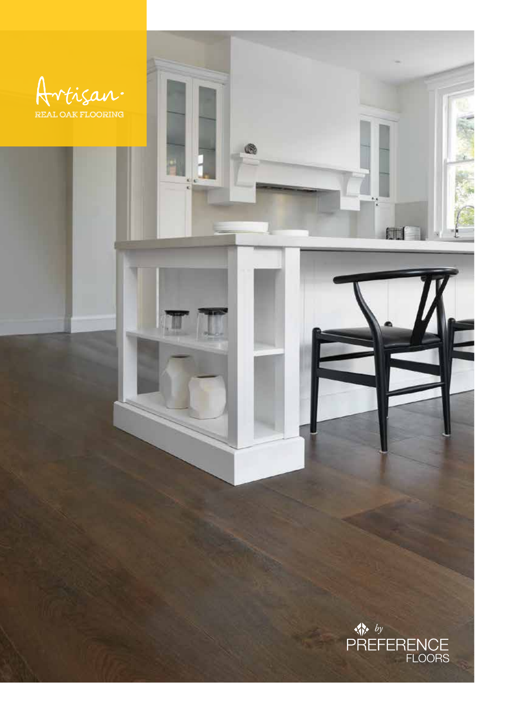

®

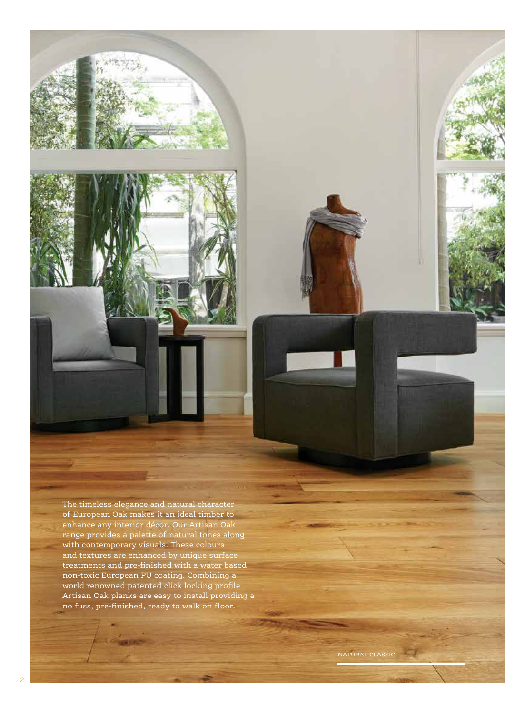The timeless elegance and natural character of European Oak makes it an ideal timber to enhance any interior décor. Our Artisan Oak range provides a palette of natural tones along with contemporary visuals. These colours and textures are enhanced by unique surface treatments and pre-finished with a water based, non-toxic European PU coating. Combining a world renowned patented click locking profile Artisan Oak planks are easy to install providing a no fuss, pre-finished, ready to walk on floor.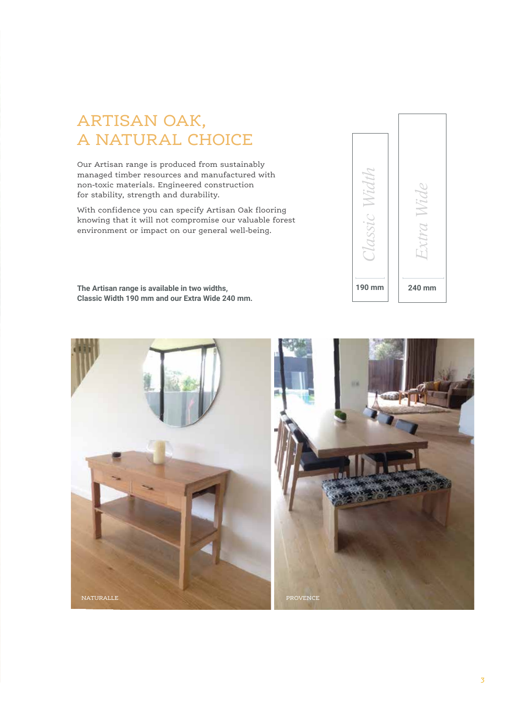# ARTISAN OAK, A NATURAL CHOICE

Our Artisan range is produced from sustainably managed timber resources and manufactured with non-toxic materials. Engineered construction for stability, strength and durability.

With confidence you can specify Artisan Oak flooring knowing that it will not compromise our valuable forest environment or impact on our general well-being.

**The Artisan range is available in two widths, Classic Width 190 mm and our Extra Wide 240 mm.** 



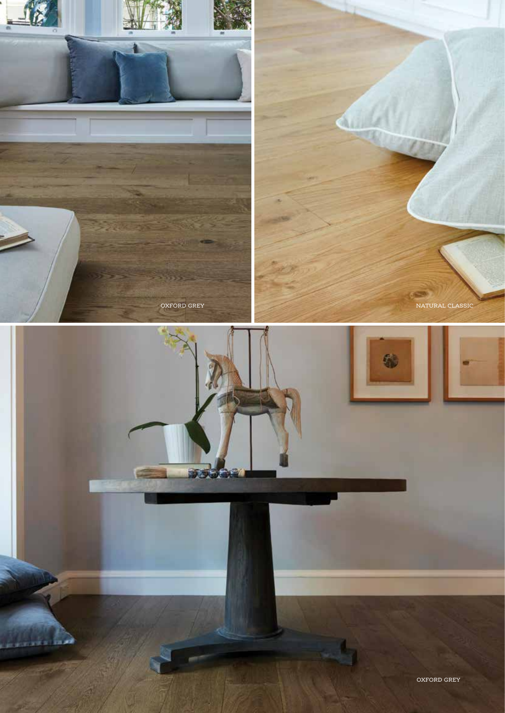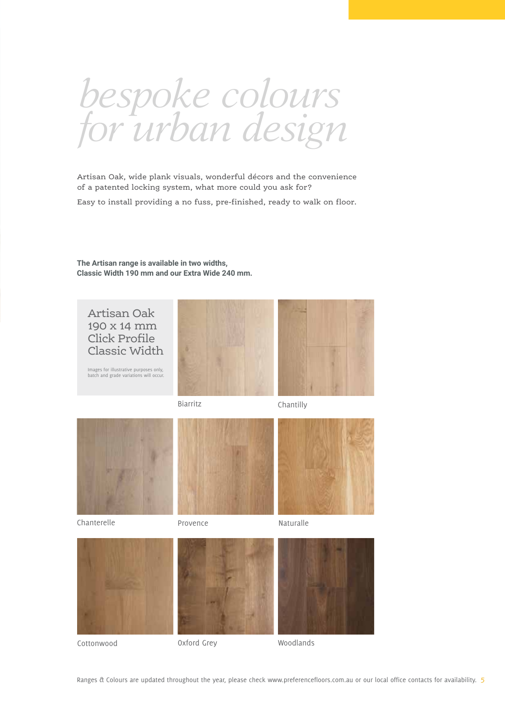*bespoke colours for urban design*

Artisan Oak, wide plank visuals, wonderful décors and the convenience of a patented locking system, what more could you ask for?

Easy to install providing a no fuss, pre-finished, ready to walk on floor.

**The Artisan range is available in two widths, Classic Width 190 mm and our Extra Wide 240 mm.** 



Cottonwood

Oxford Grey Woodlands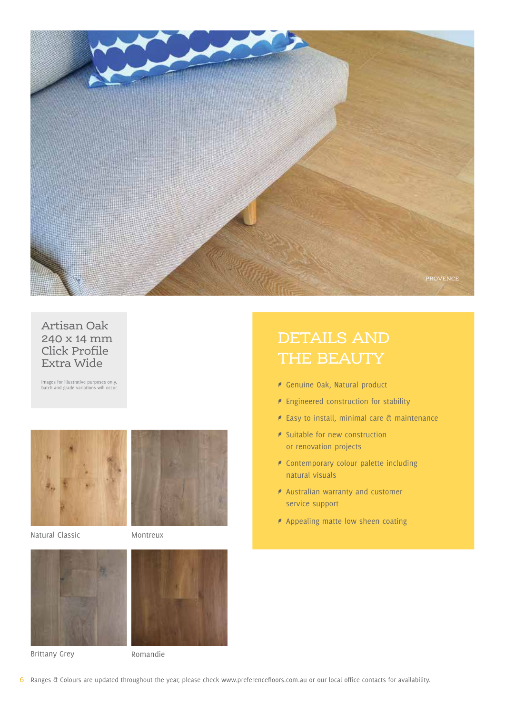

#### Artisan Oak 240 x 14 mm Click Profile Extra Wide

Images for illustrative purposes only, batch and grade variations will occur.



Natural Classic Montreux





Brittany Grey **Romandie** 

# DETAILS AND THE BEAUTY

- E Genuine Oak, Natural product
- $\blacktriangleright$  Engineered construction for stability
- $\epsilon$  Easy to install, minimal care  $\alpha$  maintenance
- **P** Suitable for new construction or renovation projects
- **P** Contemporary colour palette including natural visuals
- $\blacktriangleright$  Australian warranty and customer service support
- $\blacktriangleright$  Appealing matte low sheen coating

*6* Ranges & Colours are updated throughout the year, please check www.preferencefloors.com.au or our local office contacts for availability.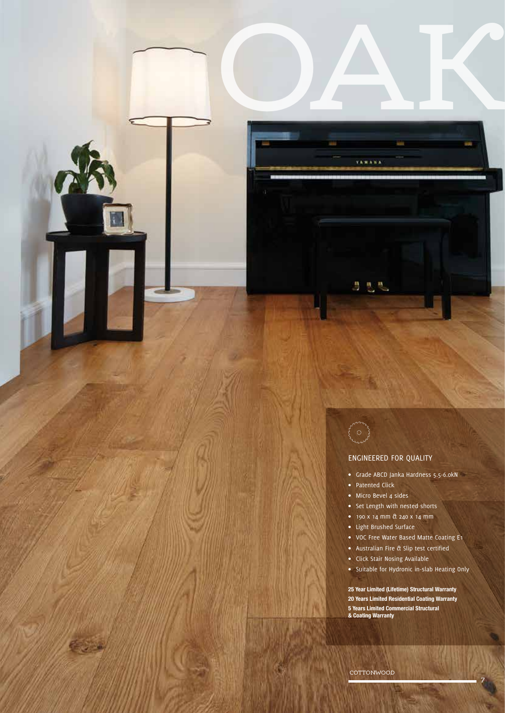nover<br>O

OAK

**YAMANA** 

医恶热

#### ENGINEERED FOR QUALITY

- Grade ABCD Janka Hardness 5.5-6.0kN
- Patented Click
- Micro Bevel 4 sides
- Set Length with nested shorts
- 190 x 14 mm & 240 x 14 mm
- Light Brushed Surface
- VOC Free Water Based Matte Coating E1
- Australian Fire & Slip test certified
- Click Stair Nosing Available
- Suitable for Hydronic in-slab Heating Only

**25 Year Limited (Lifetime) Structural Warranty 20 Years Limited Residential Coating Warranty 5 Years Limited Commercial Structural & Coating Warranty**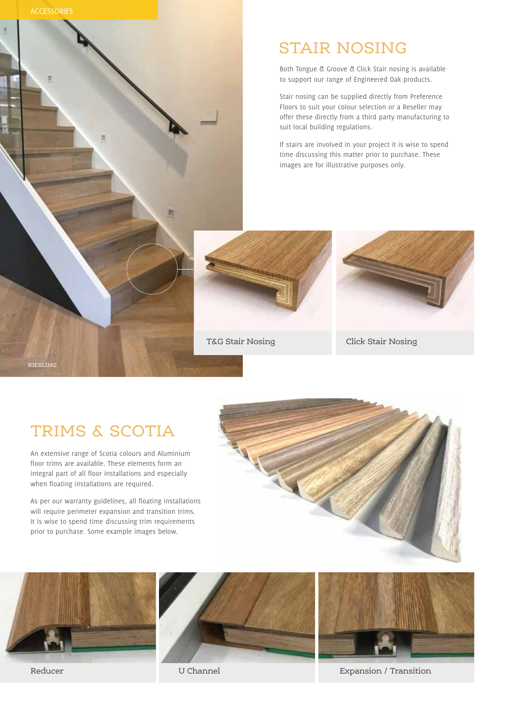

# STAIR NOSING

Both Tongue & Groove & Click Stair nosing is available to support our range of Engineered Oak products.

Stair nosing can be supplied directly from Preference Floors to suit your colour selection or a Reseller may offer these directly from a third party manufacturing to suit local building regulations.

If stairs are involved in your project it is wise to spend time discussing this matter prior to purchase. These images are for illustrative purposes only.



T&G Stair Nosing Click Stair Nosing



#### RIESLING

### TRIMS & SCOTIA

An extensive range of Scotia colours and Aluminium floor trims are available. These elements form an integral part of all floor installations and especially when floating installations are required.

As per our warranty guidelines, all floating installations will require perimeter expansion and transition trims. It is wise to spend time discussing trim requirements prior to purchase. Some example images below.









Reducer U Channel Expansion / Transition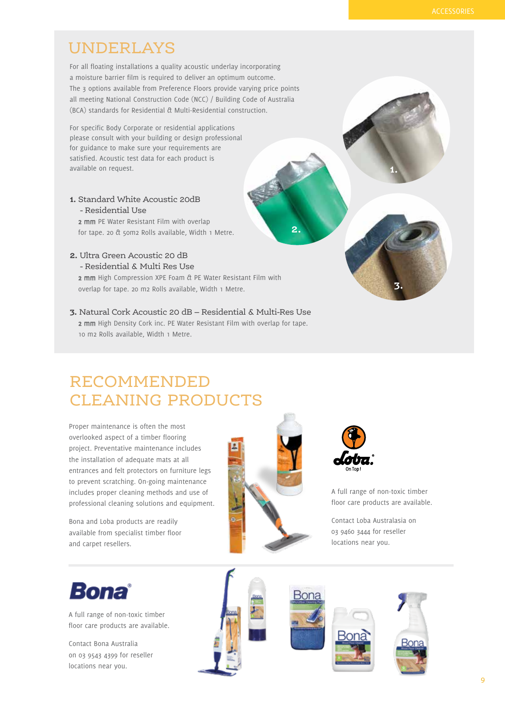### UNDERLAYS

For all floating installations a quality acoustic underlay incorporating a moisture barrier film is required to deliver an optimum outcome. The 3 options available from Preference Floors provide varying price points all meeting National Construction Code (NCC) / Building Code of Australia (BCA) standards for Residential & Multi-Residential construction.

For specific Body Corporate or residential applications please consult with your building or design professional for guidance to make sure your requirements are satisfied. Acoustic test data for each product is available on request. **1.**

**1.** Standard White Acoustic 20dB - Residential Use

2 mm PE Water Resistant Film with overlap for tape. 20 & 50m2 Rolls available, Width 1 Metre.

#### **2.** Ultra Green Acoustic 20 dB - Residential & Multi Res Use

2 mm High Compression XPE Foam & PE Water Resistant Film with overlap for tape. 20 m2 Rolls available, Width 1 Metre.

**3.** Natural Cork Acoustic 20 dB – Residential & Multi-Res Use 2 mm High Density Cork inc. PE Water Resistant Film with overlap for tape. 10 m2 Rolls available, Width 1 Metre.

# RECOMMENDED CLEANING PRODUCTS

Proper maintenance is often the most overlooked aspect of a timber flooring project. Preventative maintenance includes the installation of adequate mats at all entrances and felt protectors on furniture legs to prevent scratching. On-going maintenance includes proper cleaning methods and use of professional cleaning solutions and equipment.

Bona and Loba products are readily available from specialist timber floor and carpet resellers.



**2.**



A full range of non-toxic timber floor care products are available.

**3.**

Contact Loba Australasia on 03 9460 3444 for reseller locations near you.



A full range of non-toxic timber floor care products are available.

Contact Bona Australia on 03 9543 4399 for reseller locations near you.

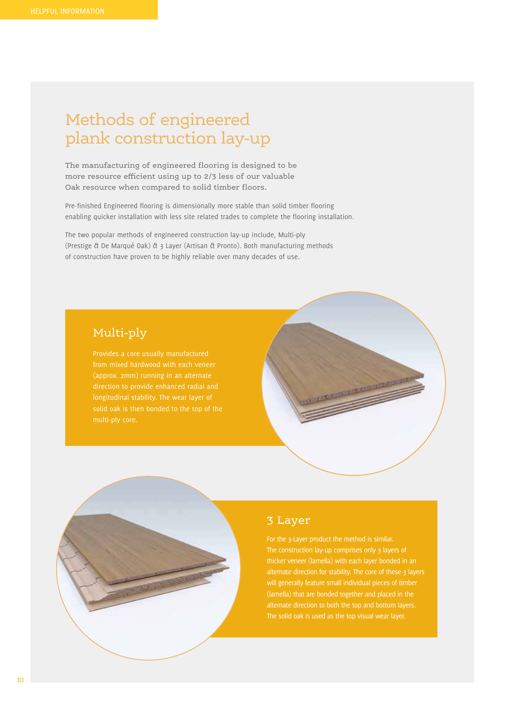# Methods of engineered plank construction lay-up

The manufacturing of engineered flooring is designed to be more resource efficient using up to 2/3 less of our valuable Oak resource when compared to solid timber floors.

Pre-finished Engineered flooring is dimensionally more stable than solid timber flooring enabling quicker installation with less site related trades to complete the flooring installation.

The two popular methods of engineered construction lay-up include, Multi-ply (Prestige & De Marqué Oak) & 3 Layer (Artisan & Pronto). Both manufacturing methods of construction have proven to be highly reliable over many decades of use.

#### Multi-ply

(approx. 2mm) running in an alternate longitudinal stability. The wear layer of

### 3 Layer

thicker veneer (lamella) with each layer bonded in an will generally feature small individual pieces of timber (lamella) that are bonded together and placed in the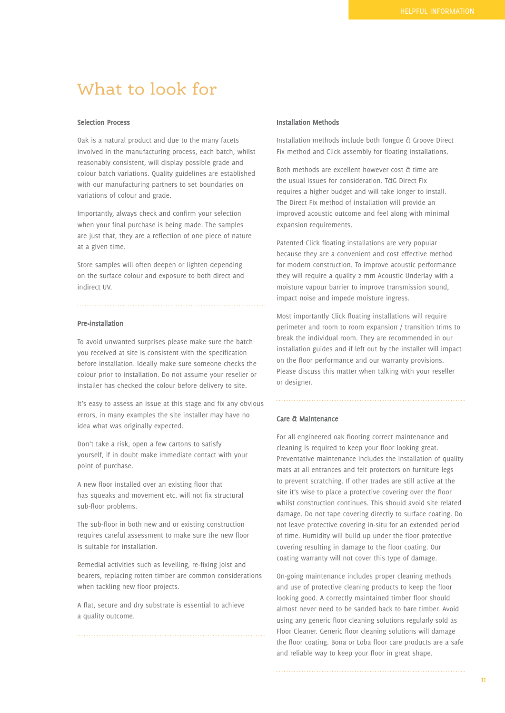### What to look for

#### Selection Process

Oak is a natural product and due to the many facets involved in the manufacturing process, each batch, whilst reasonably consistent, will display possible grade and colour batch variations. Quality guidelines are established with our manufacturing partners to set boundaries on variations of colour and grade.

Importantly, always check and confirm your selection when your final purchase is being made. The samples are just that, they are a reflection of one piece of nature at a given time.

Store samples will often deepen or lighten depending on the surface colour and exposure to both direct and indirect UV.

#### Pre-installation

To avoid unwanted surprises please make sure the batch you received at site is consistent with the specification before installation. Ideally make sure someone checks the colour prior to installation. Do not assume your reseller or installer has checked the colour before delivery to site.

It's easy to assess an issue at this stage and fix any obvious errors, in many examples the site installer may have no idea what was originally expected.

Don't take a risk, open a few cartons to satisfy yourself, if in doubt make immediate contact with your point of purchase.

A new floor installed over an existing floor that has squeaks and movement etc. will not fix structural sub-floor problems.

The sub-floor in both new and or existing construction requires careful assessment to make sure the new floor is suitable for installation.

Remedial activities such as levelling, re-fixing joist and bearers, replacing rotten timber are common considerations when tackling new floor projects.

A flat, secure and dry substrate is essential to achieve a quality outcome.

#### Installation Methods

Installation methods include both Tongue & Groove Direct Fix method and Click assembly for floating installations.

Both methods are excellent however cost & time are the usual issues for consideration. T&G Direct Fix requires a higher budget and will take longer to install. The Direct Fix method of installation will provide an improved acoustic outcome and feel along with minimal expansion requirements.

Patented Click floating installations are very popular because they are a convenient and cost effective method for modern construction. To improve acoustic performance they will require a quality 2 mm Acoustic Underlay with a moisture vapour barrier to improve transmission sound, impact noise and impede moisture ingress.

Most importantly Click floating installations will require perimeter and room to room expansion / transition trims to break the individual room. They are recommended in our installation guides and if left out by the installer will impact on the floor performance and our warranty provisions. Please discuss this matter when talking with your reseller or designer.

#### Care & Maintenance

For all engineered oak flooring correct maintenance and cleaning is required to keep your floor looking great. Preventative maintenance includes the installation of quality mats at all entrances and felt protectors on furniture legs to prevent scratching. If other trades are still active at the site it's wise to place a protective covering over the floor whilst construction continues. This should avoid site related damage. Do not tape covering directly to surface coating. Do not leave protective covering in-situ for an extended period of time. Humidity will build up under the floor protective covering resulting in damage to the floor coating. Our coating warranty will not cover this type of damage.

On-going maintenance includes proper cleaning methods and use of protective cleaning products to keep the floor looking good. A correctly maintained timber floor should almost never need to be sanded back to bare timber. Avoid using any generic floor cleaning solutions regularly sold as Floor Cleaner. Generic floor cleaning solutions will damage the floor coating. Bona or Loba floor care products are a safe and reliable way to keep your floor in great shape.